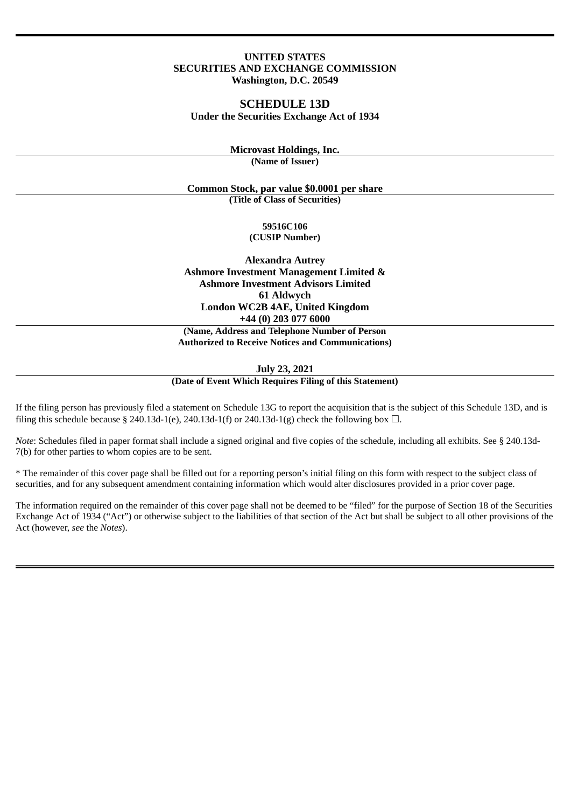## **UNITED STATES SECURITIES AND EXCHANGE COMMISSION Washington, D.C. 20549**

# **SCHEDULE 13D Under the Securities Exchange Act of 1934**

**Microvast Holdings, Inc. (Name of Issuer)**

**Common Stock, par value \$0.0001 per share (Title of Class of Securities)**

> **59516C106 (CUSIP Number)**

**Alexandra Autrey Ashmore Investment Management Limited & Ashmore Investment Advisors Limited 61 Aldwych London WC2B 4AE, United Kingdom +44 (0) 203 077 6000**

**(Name, Address and Telephone Number of Person Authorized to Receive Notices and Communications)**

**July 23, 2021**

**(Date of Event Which Requires Filing of this Statement)**

If the filing person has previously filed a statement on Schedule 13G to report the acquisition that is the subject of this Schedule 13D, and is filing this schedule because § 240.13d-1(e), 240.13d-1(f) or 240.13d-1(g) check the following box  $\Box$ .

*Note*: Schedules filed in paper format shall include a signed original and five copies of the schedule, including all exhibits. See § 240.13d-7(b) for other parties to whom copies are to be sent.

\* The remainder of this cover page shall be filled out for a reporting person's initial filing on this form with respect to the subject class of securities, and for any subsequent amendment containing information which would alter disclosures provided in a prior cover page.

The information required on the remainder of this cover page shall not be deemed to be "filed" for the purpose of Section 18 of the Securities Exchange Act of 1934 ("Act") or otherwise subject to the liabilities of that section of the Act but shall be subject to all other provisions of the Act (however, *see* the *Notes*).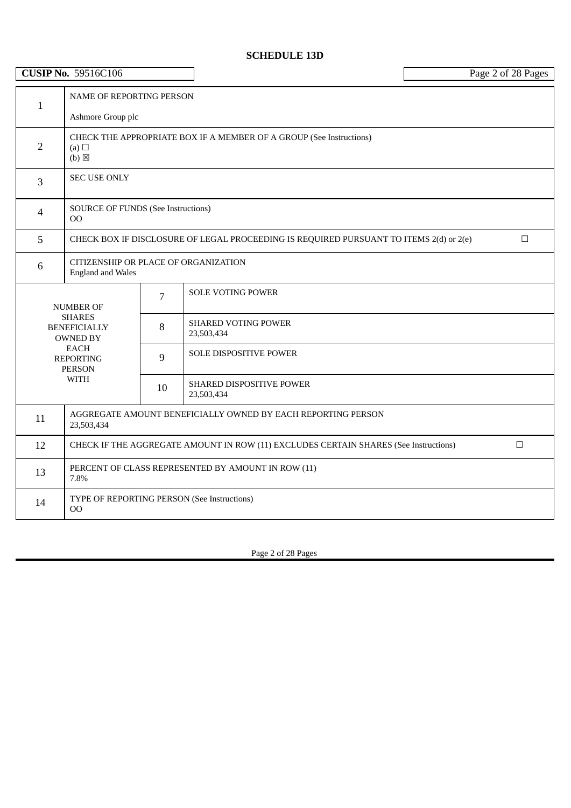# **SCHEDULE 13D**

| <b>CUSIP No. 59516C106</b> |                                                                                                 |                                    |                                                                                        | Page 2 of 28 Pages |
|----------------------------|-------------------------------------------------------------------------------------------------|------------------------------------|----------------------------------------------------------------------------------------|--------------------|
| $\mathbf{1}$               | NAME OF REPORTING PERSON<br>Ashmore Group plc                                                   |                                    |                                                                                        |                    |
| $\overline{2}$             | CHECK THE APPROPRIATE BOX IF A MEMBER OF A GROUP (See Instructions)<br>(a)<br>$(b)$ $\boxtimes$ |                                    |                                                                                        |                    |
| 3                          | <b>SEC USE ONLY</b>                                                                             |                                    |                                                                                        |                    |
| 4                          | <b>SOURCE OF FUNDS (See Instructions)</b><br><sub>OO</sub>                                      |                                    |                                                                                        |                    |
| 5                          |                                                                                                 |                                    | CHECK BOX IF DISCLOSURE OF LEGAL PROCEEDING IS REQUIRED PURSUANT TO ITEMS 2(d) or 2(e) | $\Box$             |
| 6                          | CITIZENSHIP OR PLACE OF ORGANIZATION<br><b>England and Wales</b>                                |                                    |                                                                                        |                    |
|                            | <b>NUMBER OF</b>                                                                                | $\overline{7}$                     | <b>SOLE VOTING POWER</b>                                                               |                    |
|                            | <b>SHARES</b><br><b>BENEFICIALLY</b><br><b>OWNED BY</b>                                         | 8                                  | <b>SHARED VOTING POWER</b><br>23,503,434                                               |                    |
|                            | <b>EACH</b><br><b>REPORTING</b><br><b>PERSON</b>                                                | <b>SOLE DISPOSITIVE POWER</b><br>9 |                                                                                        |                    |
|                            | <b>WITH</b>                                                                                     | 10                                 | <b>SHARED DISPOSITIVE POWER</b><br>23,503,434                                          |                    |
| 11                         | AGGREGATE AMOUNT BENEFICIALLY OWNED BY EACH REPORTING PERSON<br>23,503,434                      |                                    |                                                                                        |                    |
| 12                         | CHECK IF THE AGGREGATE AMOUNT IN ROW (11) EXCLUDES CERTAIN SHARES (See Instructions)<br>$\Box$  |                                    |                                                                                        |                    |
| 13                         | PERCENT OF CLASS REPRESENTED BY AMOUNT IN ROW (11)<br>7.8%                                      |                                    |                                                                                        |                    |
| 14                         | OO                                                                                              |                                    | TYPE OF REPORTING PERSON (See Instructions)                                            |                    |

Page 2 of 28 Pages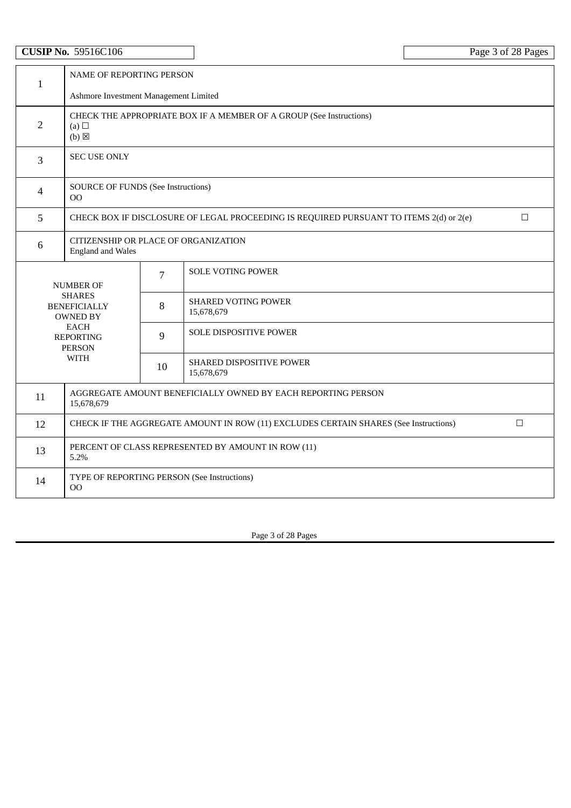| <b>CUSIP No. 59516C106</b> |                                                                                                        |                                       |                                                                                        | Page 3 of 28 Pages |  |  |
|----------------------------|--------------------------------------------------------------------------------------------------------|---------------------------------------|----------------------------------------------------------------------------------------|--------------------|--|--|
| $\mathbf{1}$               |                                                                                                        | NAME OF REPORTING PERSON              |                                                                                        |                    |  |  |
|                            |                                                                                                        | Ashmore Investment Management Limited |                                                                                        |                    |  |  |
| $\overline{2}$             | CHECK THE APPROPRIATE BOX IF A MEMBER OF A GROUP (See Instructions)<br>(a) $\Box$<br>$(b)$ $\boxtimes$ |                                       |                                                                                        |                    |  |  |
| $\mathbf{3}$               | <b>SEC USE ONLY</b>                                                                                    |                                       |                                                                                        |                    |  |  |
| $\overline{4}$             | <b>SOURCE OF FUNDS (See Instructions)</b><br>00                                                        |                                       |                                                                                        |                    |  |  |
| 5                          |                                                                                                        |                                       | CHECK BOX IF DISCLOSURE OF LEGAL PROCEEDING IS REQUIRED PURSUANT TO ITEMS 2(d) or 2(e) | $\Box$             |  |  |
| 6                          | CITIZENSHIP OR PLACE OF ORGANIZATION<br><b>England and Wales</b>                                       |                                       |                                                                                        |                    |  |  |
|                            | <b>NUMBER OF</b>                                                                                       | 7                                     | <b>SOLE VOTING POWER</b>                                                               |                    |  |  |
|                            | <b>SHARES</b><br><b>BENEFICIALLY</b><br><b>OWNED BY</b>                                                | 8                                     | <b>SHARED VOTING POWER</b><br>15,678,679                                               |                    |  |  |
|                            | <b>EACH</b><br><b>REPORTING</b><br><b>PERSON</b>                                                       |                                       | SOLE DISPOSITIVE POWER                                                                 |                    |  |  |
|                            | <b>WITH</b><br>10                                                                                      |                                       | <b>SHARED DISPOSITIVE POWER</b><br>15,678,679                                          |                    |  |  |
| 11                         | AGGREGATE AMOUNT BENEFICIALLY OWNED BY EACH REPORTING PERSON<br>15,678,679                             |                                       |                                                                                        |                    |  |  |
| 12                         | CHECK IF THE AGGREGATE AMOUNT IN ROW (11) EXCLUDES CERTAIN SHARES (See Instructions)<br>$\Box$         |                                       |                                                                                        |                    |  |  |
| 13                         | PERCENT OF CLASS REPRESENTED BY AMOUNT IN ROW (11)<br>5.2%                                             |                                       |                                                                                        |                    |  |  |
| 14                         | 00                                                                                                     |                                       | TYPE OF REPORTING PERSON (See Instructions)                                            |                    |  |  |

Page 3 of 28 Pages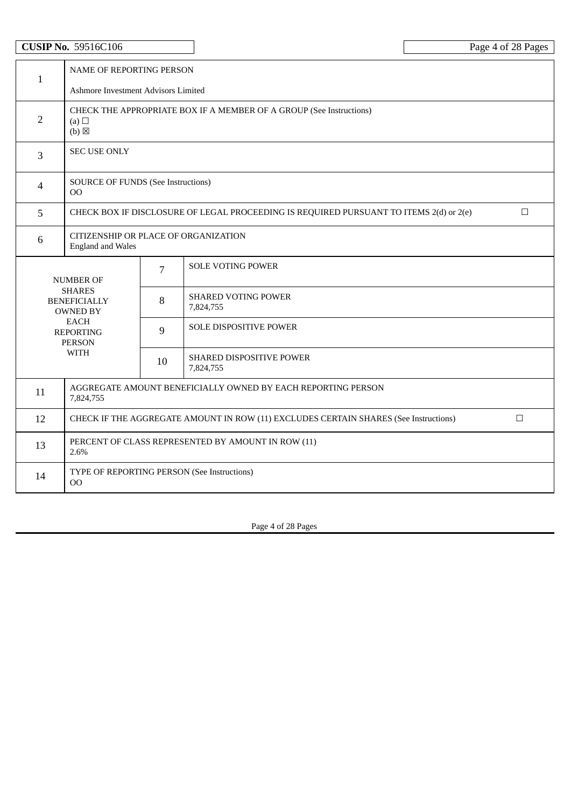|                | <b>CUSIP No. 59516C106</b>                                                                     |                                                                     |                                                                                        | Page 4 of 28 Pages |  |
|----------------|------------------------------------------------------------------------------------------------|---------------------------------------------------------------------|----------------------------------------------------------------------------------------|--------------------|--|
| $\mathbf{1}$   |                                                                                                | NAME OF REPORTING PERSON                                            |                                                                                        |                    |  |
|                | Ashmore Investment Advisors Limited                                                            |                                                                     |                                                                                        |                    |  |
| $\overline{2}$ | (a)<br>$(b)$ $\boxtimes$                                                                       | CHECK THE APPROPRIATE BOX IF A MEMBER OF A GROUP (See Instructions) |                                                                                        |                    |  |
| 3              | <b>SEC USE ONLY</b>                                                                            |                                                                     |                                                                                        |                    |  |
| $\overline{4}$ | <b>SOURCE OF FUNDS (See Instructions)</b><br>00                                                |                                                                     |                                                                                        |                    |  |
| 5              |                                                                                                |                                                                     | CHECK BOX IF DISCLOSURE OF LEGAL PROCEEDING IS REQUIRED PURSUANT TO ITEMS 2(d) or 2(e) | $\Box$             |  |
| 6              | CITIZENSHIP OR PLACE OF ORGANIZATION<br><b>England and Wales</b>                               |                                                                     |                                                                                        |                    |  |
|                | <b>NUMBER OF</b>                                                                               | $\overline{7}$                                                      | <b>SOLE VOTING POWER</b>                                                               |                    |  |
|                | <b>SHARES</b><br><b>BENEFICIALLY</b><br><b>OWNED BY</b>                                        | 8                                                                   | <b>SHARED VOTING POWER</b><br>7,824,755                                                |                    |  |
|                | <b>EACH</b><br><b>REPORTING</b><br><b>PERSON</b>                                               | 9                                                                   | SOLE DISPOSITIVE POWER                                                                 |                    |  |
|                | <b>WITH</b>                                                                                    | 10                                                                  | SHARED DISPOSITIVE POWER<br>7,824,755                                                  |                    |  |
| 11             | AGGREGATE AMOUNT BENEFICIALLY OWNED BY EACH REPORTING PERSON<br>7,824,755                      |                                                                     |                                                                                        |                    |  |
| 12             | $\Box$<br>CHECK IF THE AGGREGATE AMOUNT IN ROW (11) EXCLUDES CERTAIN SHARES (See Instructions) |                                                                     |                                                                                        |                    |  |
| 13             | PERCENT OF CLASS REPRESENTED BY AMOUNT IN ROW (11)<br>2.6%                                     |                                                                     |                                                                                        |                    |  |
| 14             | 00                                                                                             |                                                                     | TYPE OF REPORTING PERSON (See Instructions)                                            |                    |  |

Page 4 of 28 Pages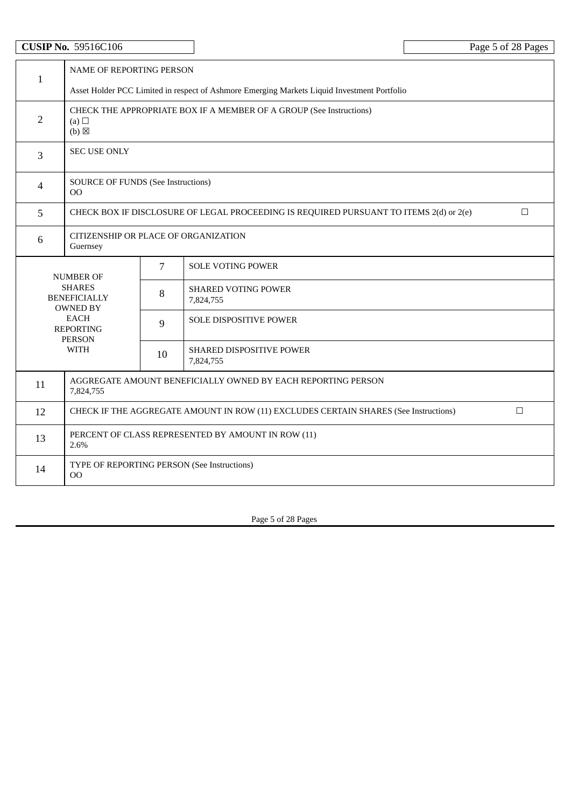# **CUSIP** No. 59516C106 Page 5 of 28 Pages

| $\mathbf{1}$   | NAME OF REPORTING PERSON                                                                         |                                                                                             |                                             |  |  |  |
|----------------|--------------------------------------------------------------------------------------------------|---------------------------------------------------------------------------------------------|---------------------------------------------|--|--|--|
|                |                                                                                                  | Asset Holder PCC Limited in respect of Ashmore Emerging Markets Liquid Investment Portfolio |                                             |  |  |  |
| $\overline{2}$ | (a) $\Box$<br>$(b)$ $\boxtimes$                                                                  | CHECK THE APPROPRIATE BOX IF A MEMBER OF A GROUP (See Instructions)                         |                                             |  |  |  |
| $\overline{3}$ | <b>SEC USE ONLY</b>                                                                              |                                                                                             |                                             |  |  |  |
| $\overline{4}$ | <b>SOURCE OF FUNDS (See Instructions)</b><br>$00\,$                                              |                                                                                             |                                             |  |  |  |
| 5              | CHECK BOX IF DISCLOSURE OF LEGAL PROCEEDING IS REQUIRED PURSUANT TO ITEMS 2(d) or 2(e)<br>$\Box$ |                                                                                             |                                             |  |  |  |
| $6\phantom{1}$ | CITIZENSHIP OR PLACE OF ORGANIZATION<br>Guernsey                                                 |                                                                                             |                                             |  |  |  |
|                | <b>NUMBER OF</b>                                                                                 | $\overline{7}$                                                                              | <b>SOLE VOTING POWER</b>                    |  |  |  |
|                | <b>SHARES</b><br><b>BENEFICIALLY</b><br><b>OWNED BY</b>                                          | <b>SHARED VOTING POWER</b><br>8<br>7,824,755                                                |                                             |  |  |  |
|                | EACH<br>SOLE DISPOSITIVE POWER<br>9<br><b>REPORTING</b><br><b>PERSON</b>                         |                                                                                             |                                             |  |  |  |
|                | <b>WITH</b>                                                                                      | SHARED DISPOSITIVE POWER<br>10<br>7,824,755                                                 |                                             |  |  |  |
| 11             | AGGREGATE AMOUNT BENEFICIALLY OWNED BY EACH REPORTING PERSON<br>7,824,755                        |                                                                                             |                                             |  |  |  |
| 12             | CHECK IF THE AGGREGATE AMOUNT IN ROW (11) EXCLUDES CERTAIN SHARES (See Instructions)<br>$\Box$   |                                                                                             |                                             |  |  |  |
| 13             | PERCENT OF CLASS REPRESENTED BY AMOUNT IN ROW (11)<br>2.6%                                       |                                                                                             |                                             |  |  |  |
| 14             | 00                                                                                               |                                                                                             | TYPE OF REPORTING PERSON (See Instructions) |  |  |  |

Page 5 of 28 Pages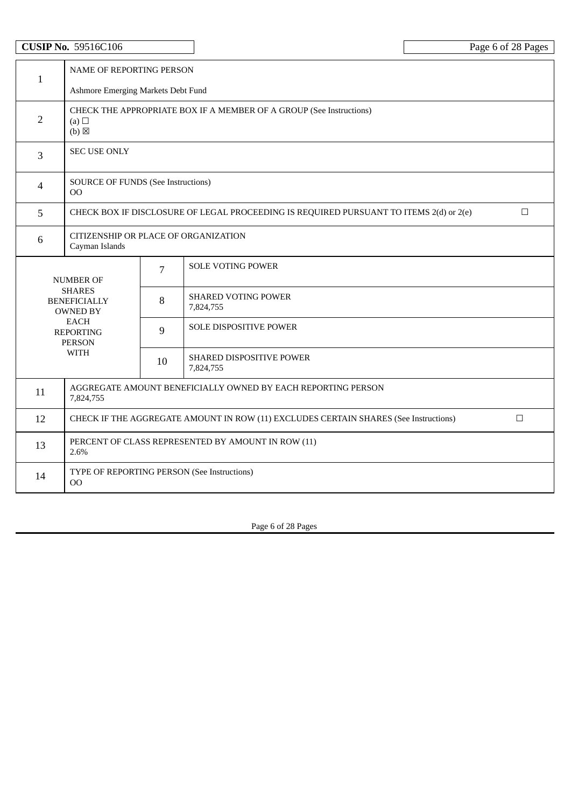|                | <b>CUSIP No. 59516C106</b>                                                                             |                                    |                                                                                        | Page 6 of 28 Pages |  |  |
|----------------|--------------------------------------------------------------------------------------------------------|------------------------------------|----------------------------------------------------------------------------------------|--------------------|--|--|
| $\mathbf{1}$   | NAME OF REPORTING PERSON                                                                               |                                    |                                                                                        |                    |  |  |
|                |                                                                                                        | Ashmore Emerging Markets Debt Fund |                                                                                        |                    |  |  |
| $\overline{2}$ | CHECK THE APPROPRIATE BOX IF A MEMBER OF A GROUP (See Instructions)<br>(a) $\Box$<br>$(b)$ $\boxtimes$ |                                    |                                                                                        |                    |  |  |
| 3              | <b>SEC USE ONLY</b>                                                                                    |                                    |                                                                                        |                    |  |  |
| 4              | <b>SOURCE OF FUNDS (See Instructions)</b><br>00                                                        |                                    |                                                                                        |                    |  |  |
| 5              |                                                                                                        |                                    | CHECK BOX IF DISCLOSURE OF LEGAL PROCEEDING IS REQUIRED PURSUANT TO ITEMS 2(d) or 2(e) | $\Box$             |  |  |
| $6\phantom{1}$ | CITIZENSHIP OR PLACE OF ORGANIZATION<br>Cayman Islands                                                 |                                    |                                                                                        |                    |  |  |
|                | <b>NUMBER OF</b>                                                                                       | 7                                  | <b>SOLE VOTING POWER</b>                                                               |                    |  |  |
|                | <b>SHARES</b><br><b>BENEFICIALLY</b><br><b>OWNED BY</b>                                                | 8                                  | <b>SHARED VOTING POWER</b><br>7,824,755                                                |                    |  |  |
|                | <b>EACH</b><br><b>REPORTING</b><br><b>PERSON</b>                                                       | 9                                  | SOLE DISPOSITIVE POWER                                                                 |                    |  |  |
|                | <b>WITH</b>                                                                                            | 10                                 | SHARED DISPOSITIVE POWER<br>7,824,755                                                  |                    |  |  |
| 11             | AGGREGATE AMOUNT BENEFICIALLY OWNED BY EACH REPORTING PERSON<br>7,824,755                              |                                    |                                                                                        |                    |  |  |
| 12             | $\Box$<br>CHECK IF THE AGGREGATE AMOUNT IN ROW (11) EXCLUDES CERTAIN SHARES (See Instructions)         |                                    |                                                                                        |                    |  |  |
| 13             | PERCENT OF CLASS REPRESENTED BY AMOUNT IN ROW (11)<br>2.6%                                             |                                    |                                                                                        |                    |  |  |
| 14             | 00                                                                                                     |                                    | TYPE OF REPORTING PERSON (See Instructions)                                            |                    |  |  |

Page 6 of 28 Pages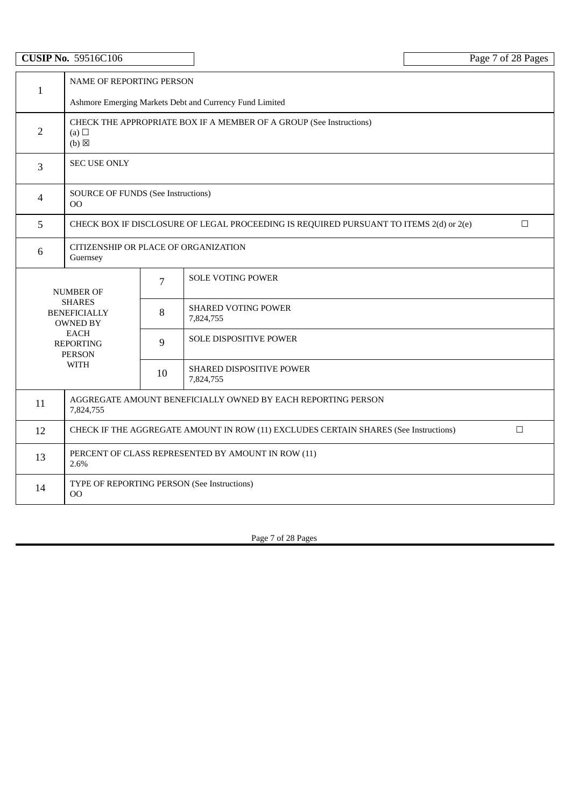| <b>CUSIP No. 59516C106</b> |                                                                                                      |                                                         |                                              | Page 7 of 28 Pages |  |  |
|----------------------------|------------------------------------------------------------------------------------------------------|---------------------------------------------------------|----------------------------------------------|--------------------|--|--|
|                            |                                                                                                      | NAME OF REPORTING PERSON                                |                                              |                    |  |  |
| $\mathbf{1}$               |                                                                                                      | Ashmore Emerging Markets Debt and Currency Fund Limited |                                              |                    |  |  |
| $\overline{2}$             | CHECK THE APPROPRIATE BOX IF A MEMBER OF A GROUP (See Instructions)<br>(a) $\Box$<br>$(b) \boxtimes$ |                                                         |                                              |                    |  |  |
| $\overline{3}$             | <b>SEC USE ONLY</b>                                                                                  |                                                         |                                              |                    |  |  |
| $\overline{4}$             | <b>SOURCE OF FUNDS (See Instructions)</b><br>$00\,$                                                  |                                                         |                                              |                    |  |  |
| 5                          | CHECK BOX IF DISCLOSURE OF LEGAL PROCEEDING IS REQUIRED PURSUANT TO ITEMS 2(d) or 2(e)<br>$\Box$     |                                                         |                                              |                    |  |  |
| 6                          | CITIZENSHIP OR PLACE OF ORGANIZATION<br>Guernsey                                                     |                                                         |                                              |                    |  |  |
|                            | <b>NUMBER OF</b>                                                                                     |                                                         | <b>SOLE VOTING POWER</b>                     |                    |  |  |
|                            | <b>SHARES</b><br><b>BENEFICIALLY</b><br><b>OWNED BY</b>                                              | 8                                                       | <b>SHARED VOTING POWER</b><br>7,824,755      |                    |  |  |
|                            | <b>EACH</b><br><b>REPORTING</b><br><b>PERSON</b>                                                     | 9                                                       | SOLE DISPOSITIVE POWER                       |                    |  |  |
|                            | <b>WITH</b>                                                                                          | 10                                                      | <b>SHARED DISPOSITIVE POWER</b><br>7,824,755 |                    |  |  |
| 11                         | AGGREGATE AMOUNT BENEFICIALLY OWNED BY EACH REPORTING PERSON<br>7,824,755                            |                                                         |                                              |                    |  |  |
| 12                         | $\Box$<br>CHECK IF THE AGGREGATE AMOUNT IN ROW (11) EXCLUDES CERTAIN SHARES (See Instructions)       |                                                         |                                              |                    |  |  |
| 13                         | PERCENT OF CLASS REPRESENTED BY AMOUNT IN ROW (11)<br>2.6%                                           |                                                         |                                              |                    |  |  |
| 14                         | 00                                                                                                   |                                                         | TYPE OF REPORTING PERSON (See Instructions)  |                    |  |  |

Page 7 of 28 Pages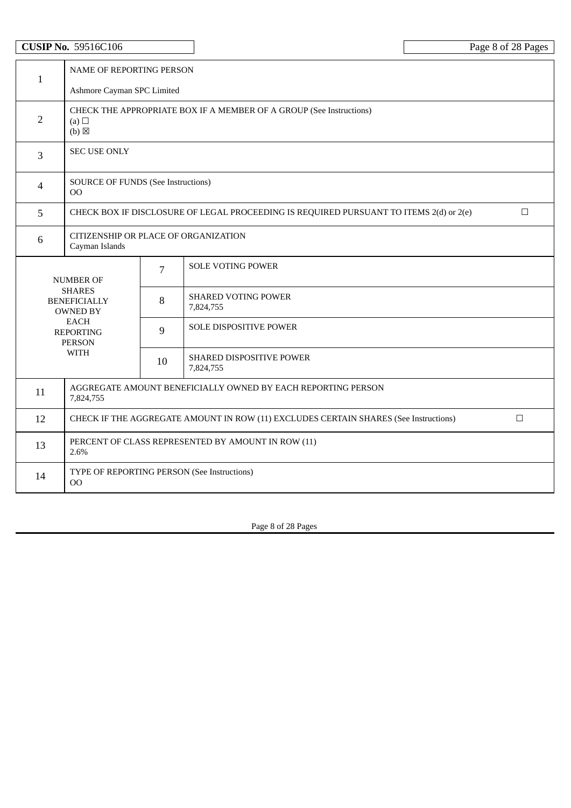|                | <b>CUSIP No. 59516C106</b>                                                                             |                            |                                             | Page 8 of 28 Pages |  |  |
|----------------|--------------------------------------------------------------------------------------------------------|----------------------------|---------------------------------------------|--------------------|--|--|
| $\mathbf{1}$   |                                                                                                        | NAME OF REPORTING PERSON   |                                             |                    |  |  |
|                |                                                                                                        | Ashmore Cayman SPC Limited |                                             |                    |  |  |
| $\overline{2}$ | CHECK THE APPROPRIATE BOX IF A MEMBER OF A GROUP (See Instructions)<br>(a) $\Box$<br>$(b)$ $\boxtimes$ |                            |                                             |                    |  |  |
| 3              | <b>SEC USE ONLY</b>                                                                                    |                            |                                             |                    |  |  |
| 4              | <b>SOURCE OF FUNDS (See Instructions)</b><br>00                                                        |                            |                                             |                    |  |  |
| 5              | CHECK BOX IF DISCLOSURE OF LEGAL PROCEEDING IS REQUIRED PURSUANT TO ITEMS 2(d) or 2(e)<br>$\Box$       |                            |                                             |                    |  |  |
| $\,6\,$        | CITIZENSHIP OR PLACE OF ORGANIZATION<br>Cayman Islands                                                 |                            |                                             |                    |  |  |
|                | <b>NUMBER OF</b>                                                                                       | 7                          | <b>SOLE VOTING POWER</b>                    |                    |  |  |
|                | <b>SHARES</b><br><b>BENEFICIALLY</b><br><b>OWNED BY</b>                                                | 8                          | <b>SHARED VOTING POWER</b><br>7,824,755     |                    |  |  |
|                | <b>EACH</b><br><b>REPORTING</b><br><b>PERSON</b>                                                       | 9                          | SOLE DISPOSITIVE POWER                      |                    |  |  |
|                | <b>WITH</b>                                                                                            | 10                         | SHARED DISPOSITIVE POWER<br>7,824,755       |                    |  |  |
| 11             | AGGREGATE AMOUNT BENEFICIALLY OWNED BY EACH REPORTING PERSON<br>7,824,755                              |                            |                                             |                    |  |  |
| 12             | CHECK IF THE AGGREGATE AMOUNT IN ROW (11) EXCLUDES CERTAIN SHARES (See Instructions)<br>$\Box$         |                            |                                             |                    |  |  |
| 13             | PERCENT OF CLASS REPRESENTED BY AMOUNT IN ROW (11)<br>2.6%                                             |                            |                                             |                    |  |  |
| 14             | OO                                                                                                     |                            | TYPE OF REPORTING PERSON (See Instructions) |                    |  |  |

Page 8 of 28 Pages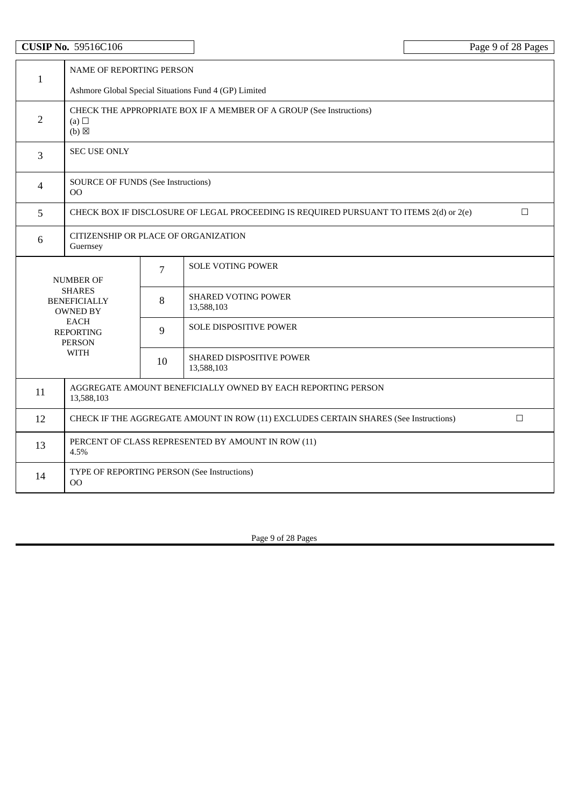|                | <b>CUSIP No. 59516C106</b>                                                                             |                                 |                                                                                        | Page 9 of 28 Pages |  |
|----------------|--------------------------------------------------------------------------------------------------------|---------------------------------|----------------------------------------------------------------------------------------|--------------------|--|
|                |                                                                                                        | <b>NAME OF REPORTING PERSON</b> |                                                                                        |                    |  |
| $\mathbf{1}$   |                                                                                                        |                                 | Ashmore Global Special Situations Fund 4 (GP) Limited                                  |                    |  |
| $\overline{2}$ | CHECK THE APPROPRIATE BOX IF A MEMBER OF A GROUP (See Instructions)<br>(a) $\Box$<br>$(b)$ $\boxtimes$ |                                 |                                                                                        |                    |  |
| 3              | <b>SEC USE ONLY</b>                                                                                    |                                 |                                                                                        |                    |  |
| $\overline{4}$ | <b>SOURCE OF FUNDS (See Instructions)</b><br>00                                                        |                                 |                                                                                        |                    |  |
| 5              |                                                                                                        |                                 | CHECK BOX IF DISCLOSURE OF LEGAL PROCEEDING IS REQUIRED PURSUANT TO ITEMS 2(d) or 2(e) | $\Box$             |  |
| 6              | CITIZENSHIP OR PLACE OF ORGANIZATION<br>Guernsey                                                       |                                 |                                                                                        |                    |  |
|                | <b>NUMBER OF</b>                                                                                       | 7                               | <b>SOLE VOTING POWER</b>                                                               |                    |  |
|                | <b>SHARES</b><br><b>BENEFICIALLY</b><br><b>OWNED BY</b>                                                | 8                               | SHARED VOTING POWER<br>13,588,103                                                      |                    |  |
|                | <b>EACH</b><br>9<br><b>REPORTING</b><br><b>PERSON</b>                                                  |                                 | <b>SOLE DISPOSITIVE POWER</b>                                                          |                    |  |
|                | <b>WITH</b>                                                                                            | 10                              | SHARED DISPOSITIVE POWER<br>13,588,103                                                 |                    |  |
| 11             | AGGREGATE AMOUNT BENEFICIALLY OWNED BY EACH REPORTING PERSON<br>13,588,103                             |                                 |                                                                                        |                    |  |
| 12             | $\Box$<br>CHECK IF THE AGGREGATE AMOUNT IN ROW (11) EXCLUDES CERTAIN SHARES (See Instructions)         |                                 |                                                                                        |                    |  |
| 13             | PERCENT OF CLASS REPRESENTED BY AMOUNT IN ROW (11)<br>4.5%                                             |                                 |                                                                                        |                    |  |
| 14             | OO                                                                                                     |                                 | TYPE OF REPORTING PERSON (See Instructions)                                            |                    |  |

Page 9 of 28 Pages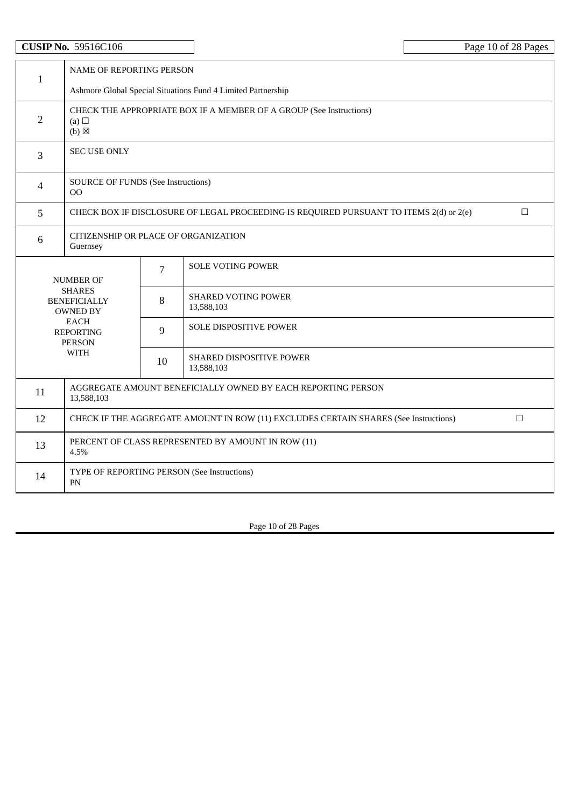|                | <b>CUSIP No. 59516C106</b>                                                                       |                                                                     |                                             | Page 10 of 28 Pages |  |
|----------------|--------------------------------------------------------------------------------------------------|---------------------------------------------------------------------|---------------------------------------------|---------------------|--|
| $\mathbf{1}$   | <b>NAME OF REPORTING PERSON</b><br>Ashmore Global Special Situations Fund 4 Limited Partnership  |                                                                     |                                             |                     |  |
|                |                                                                                                  |                                                                     |                                             |                     |  |
| $\overline{2}$ | (a)<br>$(b)$ $\boxtimes$                                                                         | CHECK THE APPROPRIATE BOX IF A MEMBER OF A GROUP (See Instructions) |                                             |                     |  |
| 3              | <b>SEC USE ONLY</b>                                                                              |                                                                     |                                             |                     |  |
| $\overline{4}$ | <b>SOURCE OF FUNDS (See Instructions)</b><br>00                                                  |                                                                     |                                             |                     |  |
| 5              | $\Box$<br>CHECK BOX IF DISCLOSURE OF LEGAL PROCEEDING IS REQUIRED PURSUANT TO ITEMS 2(d) or 2(e) |                                                                     |                                             |                     |  |
| 6              | CITIZENSHIP OR PLACE OF ORGANIZATION<br>Guernsey                                                 |                                                                     |                                             |                     |  |
|                | <b>NUMBER OF</b>                                                                                 | $\overline{7}$                                                      | <b>SOLE VOTING POWER</b>                    |                     |  |
|                | <b>SHARES</b><br><b>BENEFICIALLY</b><br><b>OWNED BY</b>                                          | 8                                                                   | <b>SHARED VOTING POWER</b><br>13,588,103    |                     |  |
|                | <b>EACH</b><br>9<br><b>REPORTING</b><br><b>PERSON</b>                                            |                                                                     | SOLE DISPOSITIVE POWER                      |                     |  |
|                | <b>WITH</b>                                                                                      | 10                                                                  | SHARED DISPOSITIVE POWER<br>13,588,103      |                     |  |
| 11             | AGGREGATE AMOUNT BENEFICIALLY OWNED BY EACH REPORTING PERSON<br>13,588,103                       |                                                                     |                                             |                     |  |
| 12             | $\Box$<br>CHECK IF THE AGGREGATE AMOUNT IN ROW (11) EXCLUDES CERTAIN SHARES (See Instructions)   |                                                                     |                                             |                     |  |
| 13             | PERCENT OF CLASS REPRESENTED BY AMOUNT IN ROW (11)<br>4.5%                                       |                                                                     |                                             |                     |  |
| 14             | PN                                                                                               |                                                                     | TYPE OF REPORTING PERSON (See Instructions) |                     |  |

Page 10 of 28 Pages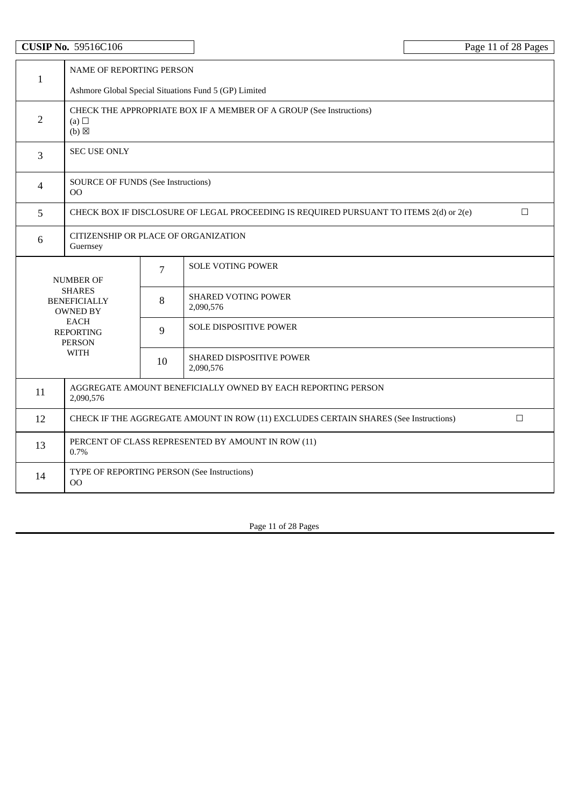|                | <b>CUSIP No. 59516C106</b>                                                                                |                          |                                                                                        | Page 11 of 28 Pages |  |
|----------------|-----------------------------------------------------------------------------------------------------------|--------------------------|----------------------------------------------------------------------------------------|---------------------|--|
| $\mathbf{1}$   |                                                                                                           | NAME OF REPORTING PERSON |                                                                                        |                     |  |
|                |                                                                                                           |                          | Ashmore Global Special Situations Fund 5 (GP) Limited                                  |                     |  |
| $\overline{2}$ | CHECK THE APPROPRIATE BOX IF A MEMBER OF A GROUP (See Instructions)<br>(a) $\square$<br>$(b)$ $\boxtimes$ |                          |                                                                                        |                     |  |
| 3              | <b>SEC USE ONLY</b>                                                                                       |                          |                                                                                        |                     |  |
| 4              | <b>SOURCE OF FUNDS (See Instructions)</b><br>00                                                           |                          |                                                                                        |                     |  |
| 5              |                                                                                                           |                          | CHECK BOX IF DISCLOSURE OF LEGAL PROCEEDING IS REQUIRED PURSUANT TO ITEMS 2(d) or 2(e) | $\Box$              |  |
| 6              | CITIZENSHIP OR PLACE OF ORGANIZATION<br>Guernsey                                                          |                          |                                                                                        |                     |  |
|                | <b>NUMBER OF</b>                                                                                          | $\overline{7}$           | <b>SOLE VOTING POWER</b>                                                               |                     |  |
|                | <b>SHARES</b><br><b>BENEFICIALLY</b><br><b>OWNED BY</b>                                                   | 8                        | <b>SHARED VOTING POWER</b><br>2,090,576                                                |                     |  |
|                | <b>EACH</b><br><b>REPORTING</b><br><b>PERSON</b>                                                          | 9                        | <b>SOLE DISPOSITIVE POWER</b>                                                          |                     |  |
|                | <b>WITH</b>                                                                                               | 10                       | SHARED DISPOSITIVE POWER<br>2,090,576                                                  |                     |  |
| 11             | AGGREGATE AMOUNT BENEFICIALLY OWNED BY EACH REPORTING PERSON<br>2,090,576                                 |                          |                                                                                        |                     |  |
| 12             | CHECK IF THE AGGREGATE AMOUNT IN ROW (11) EXCLUDES CERTAIN SHARES (See Instructions)<br>$\Box$            |                          |                                                                                        |                     |  |
| 13             | PERCENT OF CLASS REPRESENTED BY AMOUNT IN ROW (11)<br>0.7%                                                |                          |                                                                                        |                     |  |
| 14             | <sub>OO</sub>                                                                                             |                          | TYPE OF REPORTING PERSON (See Instructions)                                            |                     |  |

Page 11 of 28 Pages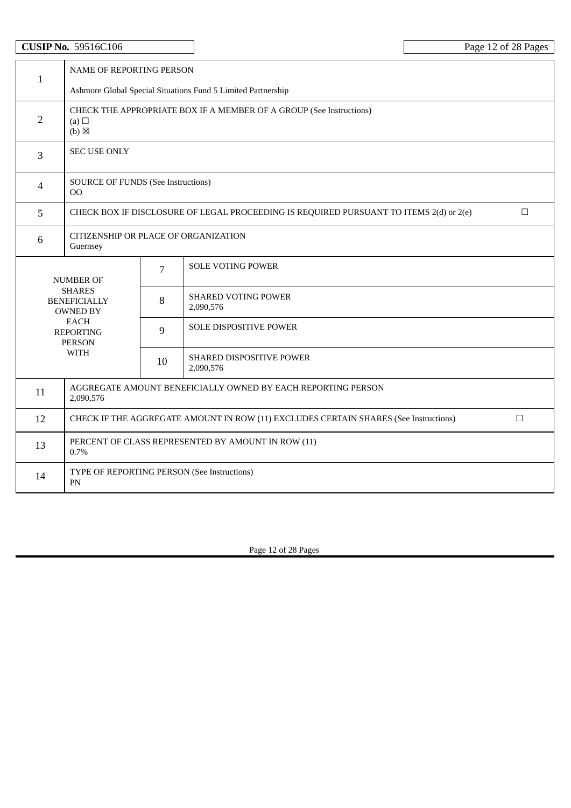|                | <b>CUSIP No. 59516C106</b>                                                                             |                                                              |                                             | Page 12 of 28 Pages |  |  |
|----------------|--------------------------------------------------------------------------------------------------------|--------------------------------------------------------------|---------------------------------------------|---------------------|--|--|
| $\mathbf{1}$   | NAME OF REPORTING PERSON                                                                               |                                                              |                                             |                     |  |  |
|                |                                                                                                        | Ashmore Global Special Situations Fund 5 Limited Partnership |                                             |                     |  |  |
| $\overline{2}$ | CHECK THE APPROPRIATE BOX IF A MEMBER OF A GROUP (See Instructions)<br>(a) $\Box$<br>$(b)$ $\boxtimes$ |                                                              |                                             |                     |  |  |
| 3              | <b>SEC USE ONLY</b>                                                                                    |                                                              |                                             |                     |  |  |
| $\overline{4}$ | <b>SOURCE OF FUNDS (See Instructions)</b><br>$00 \,$                                                   |                                                              |                                             |                     |  |  |
| 5              | $\Box$<br>CHECK BOX IF DISCLOSURE OF LEGAL PROCEEDING IS REQUIRED PURSUANT TO ITEMS 2(d) or 2(e)       |                                                              |                                             |                     |  |  |
| 6              | CITIZENSHIP OR PLACE OF ORGANIZATION<br>Guernsey                                                       |                                                              |                                             |                     |  |  |
|                | <b>NUMBER OF</b>                                                                                       | 7                                                            | <b>SOLE VOTING POWER</b>                    |                     |  |  |
|                | <b>SHARES</b><br><b>BENEFICIALLY</b><br><b>OWNED BY</b>                                                | 8                                                            | SHARED VOTING POWER<br>2,090,576            |                     |  |  |
|                | <b>EACH</b><br>9<br><b>REPORTING</b><br><b>PERSON</b>                                                  |                                                              | <b>SOLE DISPOSITIVE POWER</b>               |                     |  |  |
|                | <b>WITH</b>                                                                                            | 10                                                           | SHARED DISPOSITIVE POWER<br>2,090,576       |                     |  |  |
| 11             | AGGREGATE AMOUNT BENEFICIALLY OWNED BY EACH REPORTING PERSON<br>2,090,576                              |                                                              |                                             |                     |  |  |
| 12             | $\Box$<br>CHECK IF THE AGGREGATE AMOUNT IN ROW (11) EXCLUDES CERTAIN SHARES (See Instructions)         |                                                              |                                             |                     |  |  |
| 13             | PERCENT OF CLASS REPRESENTED BY AMOUNT IN ROW (11)<br>0.7%                                             |                                                              |                                             |                     |  |  |
| 14             | PN                                                                                                     |                                                              | TYPE OF REPORTING PERSON (See Instructions) |                     |  |  |

Page 12 of 28 Pages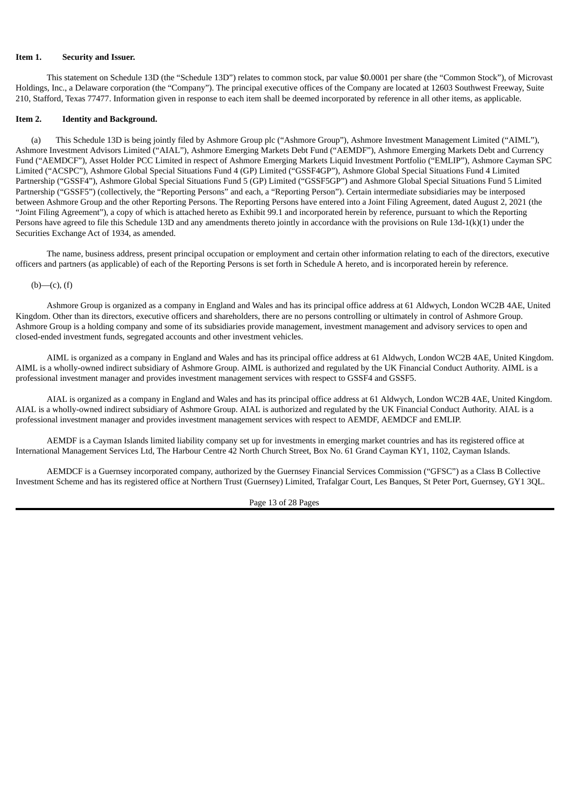### **Item 1. Security and Issuer.**

This statement on Schedule 13D (the "Schedule 13D") relates to common stock, par value \$0.0001 per share (the "Common Stock"), of Microvast Holdings, Inc., a Delaware corporation (the "Company"). The principal executive offices of the Company are located at 12603 Southwest Freeway, Suite 210, Stafford, Texas 77477. Information given in response to each item shall be deemed incorporated by reference in all other items, as applicable.

### **Item 2. Identity and Background.**

(a) This Schedule 13D is being jointly filed by Ashmore Group plc ("Ashmore Group"), Ashmore Investment Management Limited ("AIML"), Ashmore Investment Advisors Limited ("AIAL"), Ashmore Emerging Markets Debt Fund ("AEMDF"), Ashmore Emerging Markets Debt and Currency Fund ("AEMDCF"), Asset Holder PCC Limited in respect of Ashmore Emerging Markets Liquid Investment Portfolio ("EMLIP"), Ashmore Cayman SPC Limited ("ACSPC"), Ashmore Global Special Situations Fund 4 (GP) Limited ("GSSF4GP"), Ashmore Global Special Situations Fund 4 Limited Partnership ("GSSF4"), Ashmore Global Special Situations Fund 5 (GP) Limited ("GSSF5GP") and Ashmore Global Special Situations Fund 5 Limited Partnership ("GSSF5") (collectively, the "Reporting Persons" and each, a "Reporting Person"). Certain intermediate subsidiaries may be interposed between Ashmore Group and the other Reporting Persons. The Reporting Persons have entered into a Joint Filing Agreement, dated August 2, 2021 (the "Joint Filing Agreement"), a copy of which is attached hereto as Exhibit 99.1 and incorporated herein by reference, pursuant to which the Reporting Persons have agreed to file this Schedule 13D and any amendments thereto jointly in accordance with the provisions on Rule 13d-1(k)(1) under the Securities Exchange Act of 1934, as amended.

The name, business address, present principal occupation or employment and certain other information relating to each of the directors, executive officers and partners (as applicable) of each of the Reporting Persons is set forth in Schedule A hereto, and is incorporated herein by reference.

### $(b)$ — $(c)$ ,  $(f)$

Ashmore Group is organized as a company in England and Wales and has its principal office address at 61 Aldwych, London WC2B 4AE, United Kingdom. Other than its directors, executive officers and shareholders, there are no persons controlling or ultimately in control of Ashmore Group. Ashmore Group is a holding company and some of its subsidiaries provide management, investment management and advisory services to open and closed-ended investment funds, segregated accounts and other investment vehicles.

AIML is organized as a company in England and Wales and has its principal office address at 61 Aldwych, London WC2B 4AE, United Kingdom. AIML is a wholly-owned indirect subsidiary of Ashmore Group. AIML is authorized and regulated by the UK Financial Conduct Authority. AIML is a professional investment manager and provides investment management services with respect to GSSF4 and GSSF5.

AIAL is organized as a company in England and Wales and has its principal office address at 61 Aldwych, London WC2B 4AE, United Kingdom. AIAL is a wholly-owned indirect subsidiary of Ashmore Group. AIAL is authorized and regulated by the UK Financial Conduct Authority. AIAL is a professional investment manager and provides investment management services with respect to AEMDF, AEMDCF and EMLIP.

AEMDF is a Cayman Islands limited liability company set up for investments in emerging market countries and has its registered office at International Management Services Ltd, The Harbour Centre 42 North Church Street, Box No. 61 Grand Cayman KY1, 1102, Cayman Islands.

AEMDCF is a Guernsey incorporated company, authorized by the Guernsey Financial Services Commission ("GFSC") as a Class B Collective Investment Scheme and has its registered office at Northern Trust (Guernsey) Limited, Trafalgar Court, Les Banques, St Peter Port, Guernsey, GY1 3QL.

Page 13 of 28 Pages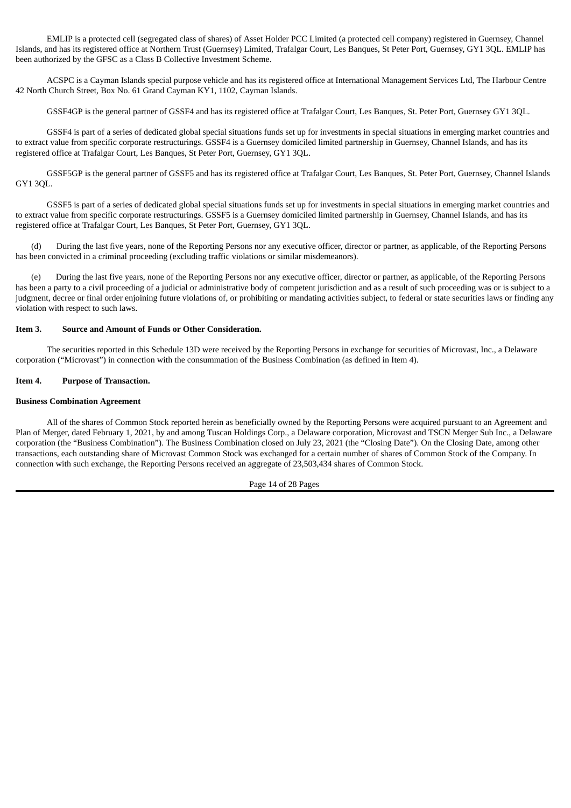EMLIP is a protected cell (segregated class of shares) of Asset Holder PCC Limited (a protected cell company) registered in Guernsey, Channel Islands, and has its registered office at Northern Trust (Guernsey) Limited, Trafalgar Court, Les Banques, St Peter Port, Guernsey, GY1 3QL. EMLIP has been authorized by the GFSC as a Class B Collective Investment Scheme.

ACSPC is a Cayman Islands special purpose vehicle and has its registered office at International Management Services Ltd, The Harbour Centre 42 North Church Street, Box No. 61 Grand Cayman KY1, 1102, Cayman Islands.

GSSF4GP is the general partner of GSSF4 and has its registered office at Trafalgar Court, Les Banques, St. Peter Port, Guernsey GY1 3QL.

GSSF4 is part of a series of dedicated global special situations funds set up for investments in special situations in emerging market countries and to extract value from specific corporate restructurings. GSSF4 is a Guernsey domiciled limited partnership in Guernsey, Channel Islands, and has its registered office at Trafalgar Court, Les Banques, St Peter Port, Guernsey, GY1 3QL.

GSSF5GP is the general partner of GSSF5 and has its registered office at Trafalgar Court, Les Banques, St. Peter Port, Guernsey, Channel Islands GY1 3QL.

GSSF5 is part of a series of dedicated global special situations funds set up for investments in special situations in emerging market countries and to extract value from specific corporate restructurings. GSSF5 is a Guernsey domiciled limited partnership in Guernsey, Channel Islands, and has its registered office at Trafalgar Court, Les Banques, St Peter Port, Guernsey, GY1 3QL.

(d) During the last five years, none of the Reporting Persons nor any executive officer, director or partner, as applicable, of the Reporting Persons has been convicted in a criminal proceeding (excluding traffic violations or similar misdemeanors).

(e) During the last five years, none of the Reporting Persons nor any executive officer, director or partner, as applicable, of the Reporting Persons has been a party to a civil proceeding of a judicial or administrative body of competent jurisdiction and as a result of such proceeding was or is subject to a judgment, decree or final order enjoining future violations of, or prohibiting or mandating activities subject, to federal or state securities laws or finding any violation with respect to such laws.

### **Item 3. Source and Amount of Funds or Other Consideration.**

The securities reported in this Schedule 13D were received by the Reporting Persons in exchange for securities of Microvast, Inc., a Delaware corporation ("Microvast") in connection with the consummation of the Business Combination (as defined in Item 4).

### **Item 4. Purpose of Transaction.**

### **Business Combination Agreement**

All of the shares of Common Stock reported herein as beneficially owned by the Reporting Persons were acquired pursuant to an Agreement and Plan of Merger, dated February 1, 2021, by and among Tuscan Holdings Corp., a Delaware corporation, Microvast and TSCN Merger Sub Inc., a Delaware corporation (the "Business Combination"). The Business Combination closed on July 23, 2021 (the "Closing Date"). On the Closing Date, among other transactions, each outstanding share of Microvast Common Stock was exchanged for a certain number of shares of Common Stock of the Company. In connection with such exchange, the Reporting Persons received an aggregate of 23,503,434 shares of Common Stock.

Page 14 of 28 Pages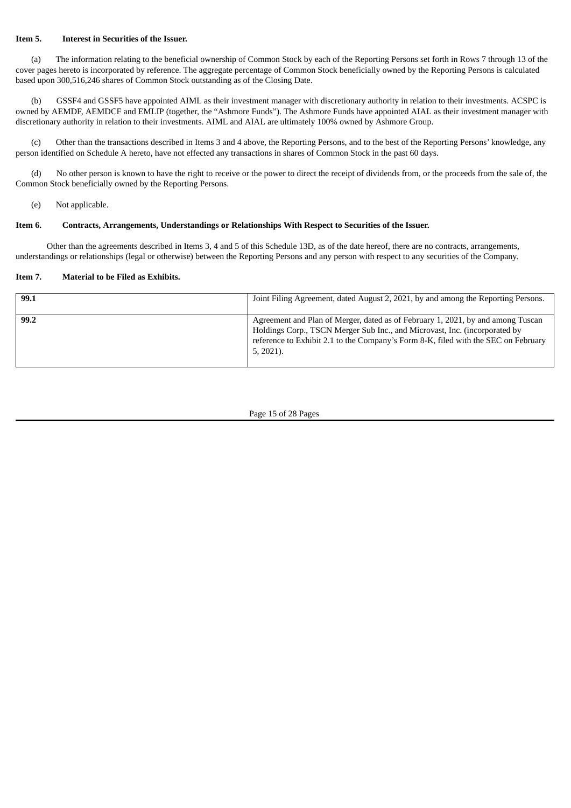## **Item 5. Interest in Securities of the Issuer.**

(a) The information relating to the beneficial ownership of Common Stock by each of the Reporting Persons set forth in Rows 7 through 13 of the cover pages hereto is incorporated by reference. The aggregate percentage of Common Stock beneficially owned by the Reporting Persons is calculated based upon 300,516,246 shares of Common Stock outstanding as of the Closing Date.

(b) GSSF4 and GSSF5 have appointed AIML as their investment manager with discretionary authority in relation to their investments. ACSPC is owned by AEMDF, AEMDCF and EMLIP (together, the "Ashmore Funds"). The Ashmore Funds have appointed AIAL as their investment manager with discretionary authority in relation to their investments. AIML and AIAL are ultimately 100% owned by Ashmore Group.

(c) Other than the transactions described in Items 3 and 4 above, the Reporting Persons, and to the best of the Reporting Persons' knowledge, any person identified on Schedule A hereto, have not effected any transactions in shares of Common Stock in the past 60 days.

(d) No other person is known to have the right to receive or the power to direct the receipt of dividends from, or the proceeds from the sale of, the Common Stock beneficially owned by the Reporting Persons.

(e) Not applicable.

### **Item 6. Contracts, Arrangements, Understandings or Relationships With Respect to Securities of the Issuer.**

Other than the agreements described in Items 3, 4 and 5 of this Schedule 13D, as of the date hereof, there are no contracts, arrangements, understandings or relationships (legal or otherwise) between the Reporting Persons and any person with respect to any securities of the Company.

### **Item 7. Material to be Filed as Exhibits.**

| 99.1 | Joint Filing Agreement, dated August 2, 2021, by and among the Reporting Persons.                                                                                                                                                                                   |
|------|---------------------------------------------------------------------------------------------------------------------------------------------------------------------------------------------------------------------------------------------------------------------|
| 99.2 | Agreement and Plan of Merger, dated as of February 1, 2021, by and among Tuscan<br>Holdings Corp., TSCN Merger Sub Inc., and Microvast, Inc. (incorporated by<br>reference to Exhibit 2.1 to the Company's Form 8-K, filed with the SEC on February<br>$5, 2021$ ). |

Page 15 of 28 Pages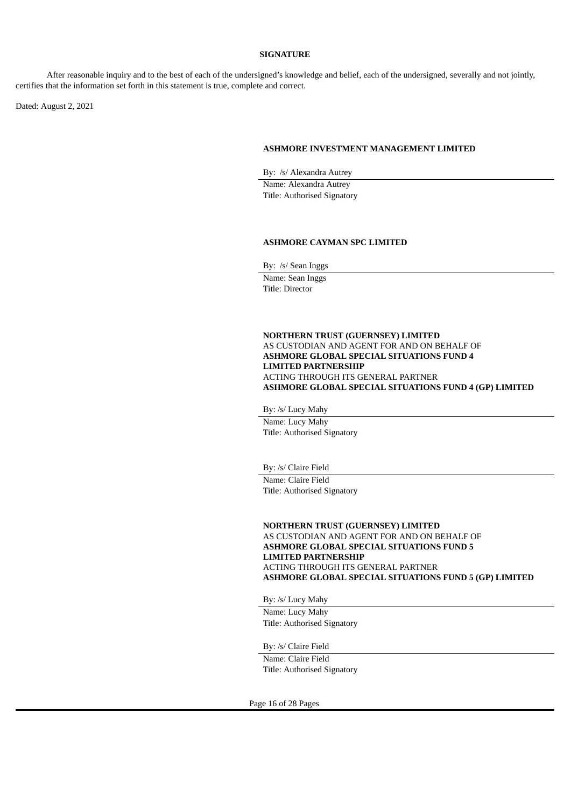### **SIGNATURE**

After reasonable inquiry and to the best of each of the undersigned's knowledge and belief, each of the undersigned, severally and not jointly, certifies that the information set forth in this statement is true, complete and correct.

Dated: August 2, 2021

#### **ASHMORE INVESTMENT MANAGEMENT LIMITED**

By: /s/ Alexandra Autrey

Name: Alexandra Autrey Title: Authorised Signatory

#### **ASHMORE CAYMAN SPC LIMITED**

By: /s/ Sean Inggs Name: Sean Inggs

Title: Director

### **NORTHERN TRUST (GUERNSEY) LIMITED** AS CUSTODIAN AND AGENT FOR AND ON BEHALF OF **ASHMORE GLOBAL SPECIAL SITUATIONS FUND 4 LIMITED PARTNERSHIP** ACTING THROUGH ITS GENERAL PARTNER **ASHMORE GLOBAL SPECIAL SITUATIONS FUND 4 (GP) LIMITED**

By: /s/ Lucy Mahy

Name: Lucy Mahy Title: Authorised Signatory

By: /s/ Claire Field Name: Claire Field

Title: Authorised Signatory

**NORTHERN TRUST (GUERNSEY) LIMITED** AS CUSTODIAN AND AGENT FOR AND ON BEHALF OF **ASHMORE GLOBAL SPECIAL SITUATIONS FUND 5 LIMITED PARTNERSHIP** ACTING THROUGH ITS GENERAL PARTNER **ASHMORE GLOBAL SPECIAL SITUATIONS FUND 5 (GP) LIMITED**

By: /s/ Lucy Mahy

Name: Lucy Mahy Title: Authorised Signatory

By: /s/ Claire Field

Name: Claire Field Title: Authorised Signatory

Page 16 of 28 Pages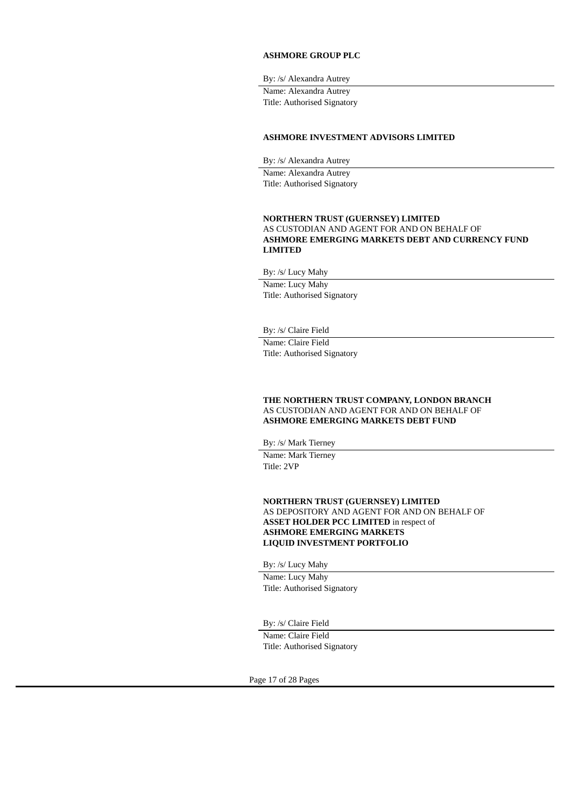### **ASHMORE GROUP PLC**

By: /s/ Alexandra Autrey

Name: Alexandra Autrey Title: Authorised Signatory

### **ASHMORE INVESTMENT ADVISORS LIMITED**

By: /s/ Alexandra Autrey Name: Alexandra Autrey Title: Authorised Signatory

## **NORTHERN TRUST (GUERNSEY) LIMITED** AS CUSTODIAN AND AGENT FOR AND ON BEHALF OF **ASHMORE EMERGING MARKETS DEBT AND CURRENCY FUND LIMITED**

By: /s/ Lucy Mahy

Name: Lucy Mahy Title: Authorised Signatory

By: /s/ Claire Field

Name: Claire Field Title: Authorised Signatory

### **THE NORTHERN TRUST COMPANY, LONDON BRANCH** AS CUSTODIAN AND AGENT FOR AND ON BEHALF OF **ASHMORE EMERGING MARKETS DEBT FUND**

By: /s/ Mark Tierney

Name: Mark Tierney Title: 2VP

**NORTHERN TRUST (GUERNSEY) LIMITED** AS DEPOSITORY AND AGENT FOR AND ON BEHALF OF **ASSET HOLDER PCC LIMITED** in respect of **ASHMORE EMERGING MARKETS LIQUID INVESTMENT PORTFOLIO**

By: /s/ Lucy Mahy Name: Lucy Mahy Title: Authorised Signatory

By: /s/ Claire Field

Name: Claire Field Title: Authorised Signatory

Page 17 of 28 Pages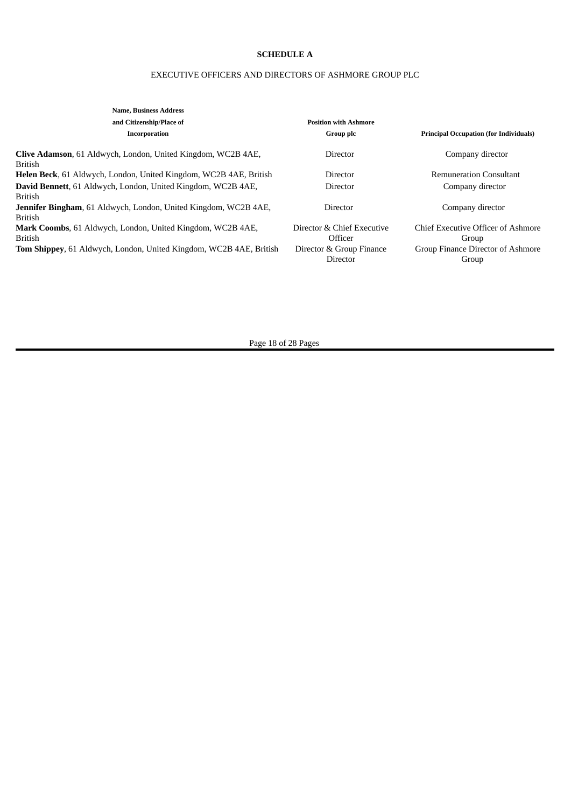# **SCHEDULE A**

# EXECUTIVE OFFICERS AND DIRECTORS OF ASHMORE GROUP PLC

| <b>Name, Business Address</b>                                                  |                              |                                               |
|--------------------------------------------------------------------------------|------------------------------|-----------------------------------------------|
| and Citizenship/Place of                                                       | <b>Position with Ashmore</b> |                                               |
| Incorporation                                                                  | Group plc                    | <b>Principal Occupation (for Individuals)</b> |
| Clive Adamson, 61 Aldwych, London, United Kingdom, WC2B 4AE,<br><b>British</b> | Director                     | Company director                              |
| <b>Helen Beck, 61 Aldwych, London, United Kingdom, WC2B 4AE, British</b>       | Director                     | <b>Remuneration Consultant</b>                |
| David Bennett, 61 Aldwych, London, United Kingdom, WC2B 4AE,                   | Director                     | Company director                              |
| <b>British</b>                                                                 |                              |                                               |
| <b>Jennifer Bingham, 61 Aldwych, London, United Kingdom, WC2B 4AE,</b>         | Director                     | Company director                              |
| <b>British</b>                                                                 |                              |                                               |
| Mark Coombs, 61 Aldwych, London, United Kingdom, WC2B 4AE,                     | Director & Chief Executive   | Chief Executive Officer of Ashmore            |
| <b>British</b>                                                                 | Officer                      | Group                                         |
| <b>Tom Shippey, 61 Aldwych, London, United Kingdom, WC2B 4AE, British</b>      | Director & Group Finance     | Group Finance Director of Ashmore             |
|                                                                                | Director                     | Group                                         |
|                                                                                |                              |                                               |

Page 18 of 28 Pages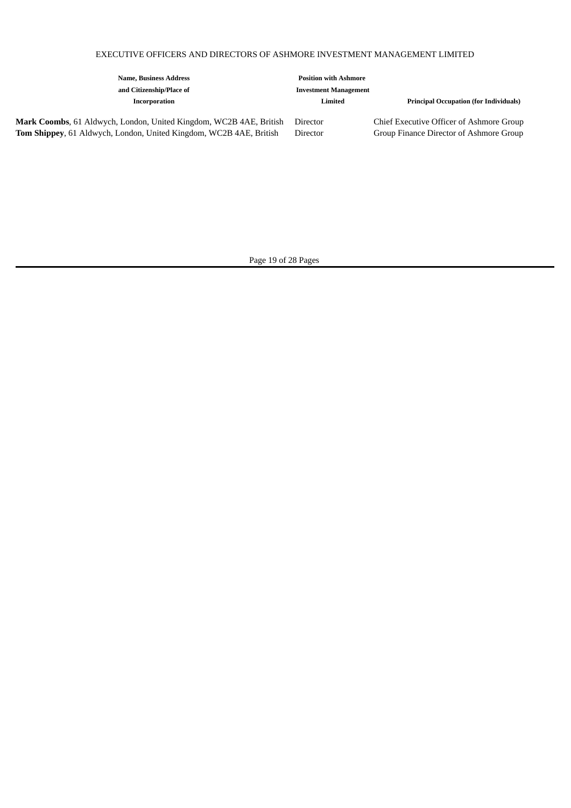# EXECUTIVE OFFICERS AND DIRECTORS OF ASHMORE INVESTMENT MANAGEMENT LIMITED

| <b>Name, Business Address</b>                                                                                                                   | <b>Position with Ashmore</b> |                                                                                     |
|-------------------------------------------------------------------------------------------------------------------------------------------------|------------------------------|-------------------------------------------------------------------------------------|
| and Citizenship/Place of                                                                                                                        | <b>Investment Management</b> |                                                                                     |
| Incorporation                                                                                                                                   | Limited                      | <b>Principal Occupation (for Individuals)</b>                                       |
| Mark Coombs, 61 Aldwych, London, United Kingdom, WC2B 4AE, British<br><b>Tom Shippey, 61 Aldwych, London, United Kingdom, WC2B 4AE, British</b> | Director<br>Director         | Chief Executive Officer of Ashmore Group<br>Group Finance Director of Ashmore Group |

Page 19 of 28 Pages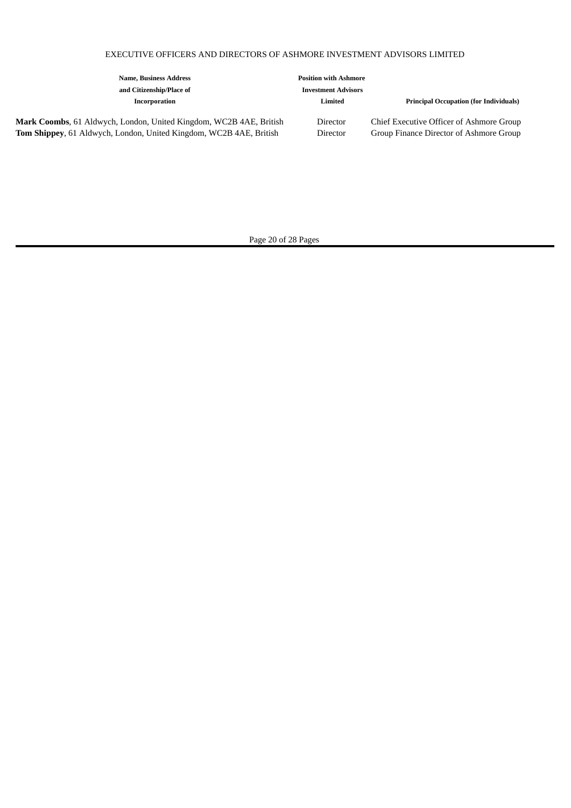# EXECUTIVE OFFICERS AND DIRECTORS OF ASHMORE INVESTMENT ADVISORS LIMITED

| <b>Name, Business Address</b><br>and Citizenship/Place of                                                                                       | <b>Position with Ashmore</b><br><b>Investment Advisors</b> |                                                                                     |
|-------------------------------------------------------------------------------------------------------------------------------------------------|------------------------------------------------------------|-------------------------------------------------------------------------------------|
| Incorporation                                                                                                                                   | Limited                                                    | <b>Principal Occupation (for Individuals)</b>                                       |
| Mark Coombs, 61 Aldwych, London, United Kingdom, WC2B 4AE, British<br><b>Tom Shippey, 61 Aldwych, London, United Kingdom, WC2B 4AE, British</b> | Director<br>Director                                       | Chief Executive Officer of Ashmore Group<br>Group Finance Director of Ashmore Group |

Page 20 of 28 Pages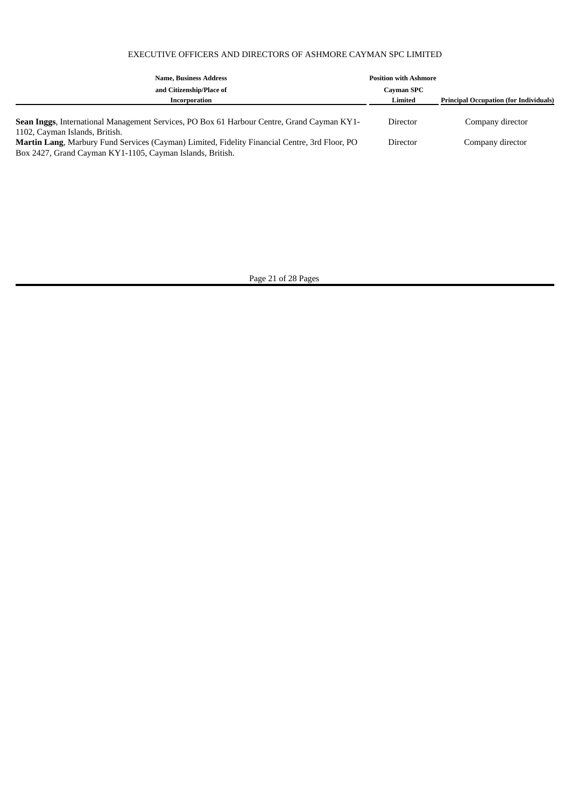# EXECUTIVE OFFICERS AND DIRECTORS OF ASHMORE CAYMAN SPC LIMITED

| <b>Name, Business Address</b>                                                                     | <b>Position with Ashmore</b> |                                               |
|---------------------------------------------------------------------------------------------------|------------------------------|-----------------------------------------------|
| and Citizenship/Place of                                                                          | <b>Cayman SPC</b>            |                                               |
| Incorporation                                                                                     | Limited                      | <b>Principal Occupation (for Individuals)</b> |
|                                                                                                   |                              |                                               |
| <b>Sean Inggs, International Management Services, PO Box 61 Harbour Centre, Grand Cayman KY1-</b> | Director                     | Company director                              |
| 1102, Cayman Islands, British.                                                                    |                              |                                               |
| Martin Lang, Marbury Fund Services (Cayman) Limited, Fidelity Financial Centre, 3rd Floor, PO     | Director                     | Company director                              |
| Box 2427, Grand Cayman KY1-1105, Cayman Islands, British.                                         |                              |                                               |

Page 21 of 28 Pages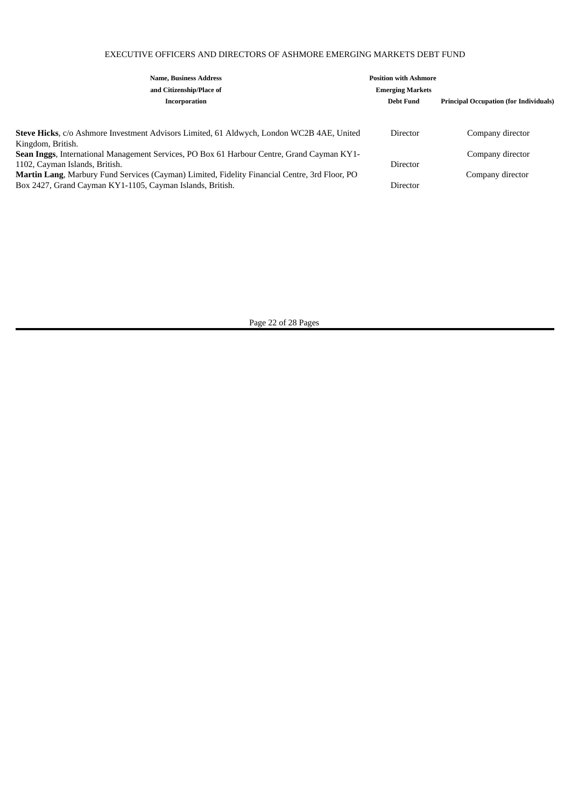# EXECUTIVE OFFICERS AND DIRECTORS OF ASHMORE EMERGING MARKETS DEBT FUND

| <b>Name, Business Address</b>                                                                     | <b>Position with Ashmore</b> |                                               |
|---------------------------------------------------------------------------------------------------|------------------------------|-----------------------------------------------|
| and Citizenship/Place of                                                                          | <b>Emerging Markets</b>      |                                               |
| Incorporation                                                                                     | Debt Fund                    | <b>Principal Occupation (for Individuals)</b> |
|                                                                                                   |                              |                                               |
| Steve Hicks, c/o Ashmore Investment Advisors Limited, 61 Aldwych, London WC2B 4AE, United         | Director                     | Company director                              |
| Kingdom, British.                                                                                 |                              |                                               |
| <b>Sean Inggs, International Management Services, PO Box 61 Harbour Centre, Grand Cayman KY1-</b> |                              | Company director                              |
| 1102, Cayman Islands, British.                                                                    | Director                     |                                               |
| Martin Lang, Marbury Fund Services (Cayman) Limited, Fidelity Financial Centre, 3rd Floor, PO     |                              | Company director                              |
| Box 2427, Grand Cayman KY1-1105, Cayman Islands, British.                                         | Director                     |                                               |

Page 22 of 28 Pages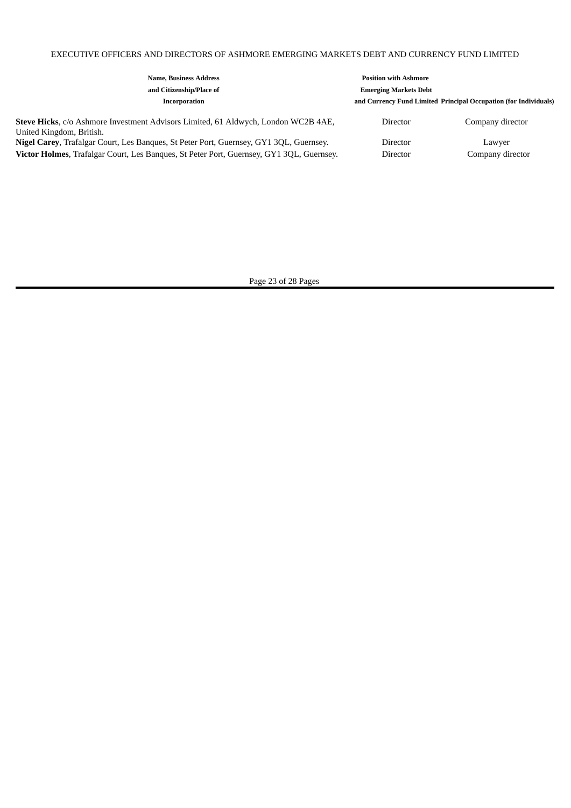# EXECUTIVE OFFICERS AND DIRECTORS OF ASHMORE EMERGING MARKETS DEBT AND CURRENCY FUND LIMITED

| <b>Name, Business Address</b>                                                                                                                                                             | <b>Position with Ashmore</b> |                                                                  |
|-------------------------------------------------------------------------------------------------------------------------------------------------------------------------------------------|------------------------------|------------------------------------------------------------------|
| and Citizenship/Place of                                                                                                                                                                  | <b>Emerging Markets Debt</b> |                                                                  |
| Incorporation                                                                                                                                                                             |                              | and Currency Fund Limited Principal Occupation (for Individuals) |
| Steve Hicks, c/o Ashmore Investment Advisors Limited, 61 Aldwych, London WC2B 4AE,<br>United Kingdom, British.                                                                            | Director                     | Company director                                                 |
| <b>Nigel Carey, Trafalgar Court, Les Banques, St Peter Port, Guernsey, GY1 3QL, Guernsey.</b><br>Victor Holmes, Trafalgar Court, Les Banques, St Peter Port, Guernsey, GY1 3QL, Guernsey. | Director<br>Director         | Lawyer<br>Company director                                       |

Page 23 of 28 Pages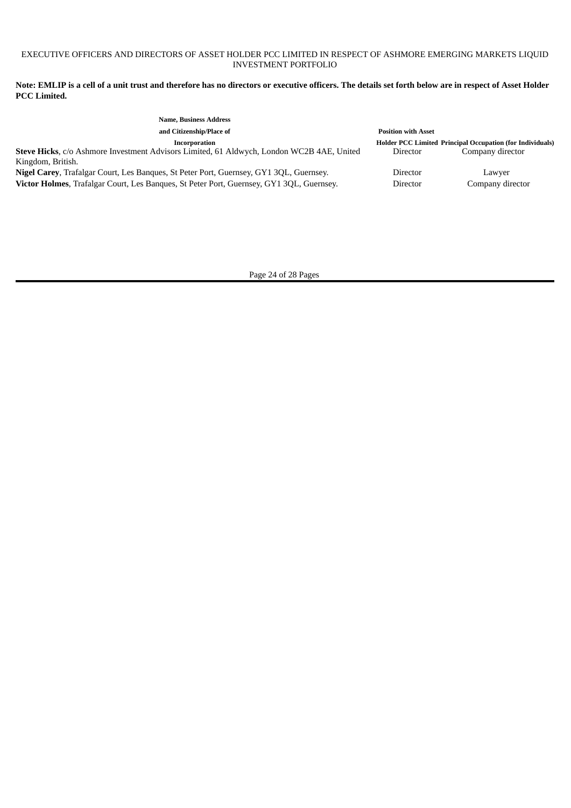## EXECUTIVE OFFICERS AND DIRECTORS OF ASSET HOLDER PCC LIMITED IN RESPECT OF ASHMORE EMERGING MARKETS LIQUID INVESTMENT PORTFOLIO

Note: EMLIP is a cell of a unit trust and therefore has no directors or executive officers. The details set forth below are in respect of Asset Holder **PCC Limited.**

| <b>Name, Business Address</b>                                                             |                            |                                                                  |
|-------------------------------------------------------------------------------------------|----------------------------|------------------------------------------------------------------|
| and Citizenship/Place of                                                                  | <b>Position with Asset</b> |                                                                  |
| Incorporation                                                                             |                            | <b>Holder PCC Limited Principal Occupation (for Individuals)</b> |
| Steve Hicks, c/o Ashmore Investment Advisors Limited, 61 Aldwych, London WC2B 4AE, United | Director                   | Company director                                                 |
| Kingdom, British.                                                                         |                            |                                                                  |
| Nigel Carey, Trafalgar Court, Les Banques, St Peter Port, Guernsey, GY1 3QL, Guernsey.    | Director                   | Lawver                                                           |
| Victor Holmes, Trafalgar Court, Les Banques, St Peter Port, Guernsey, GY1 3QL, Guernsey.  | Director                   | Company director                                                 |
|                                                                                           |                            |                                                                  |

Page 24 of 28 Pages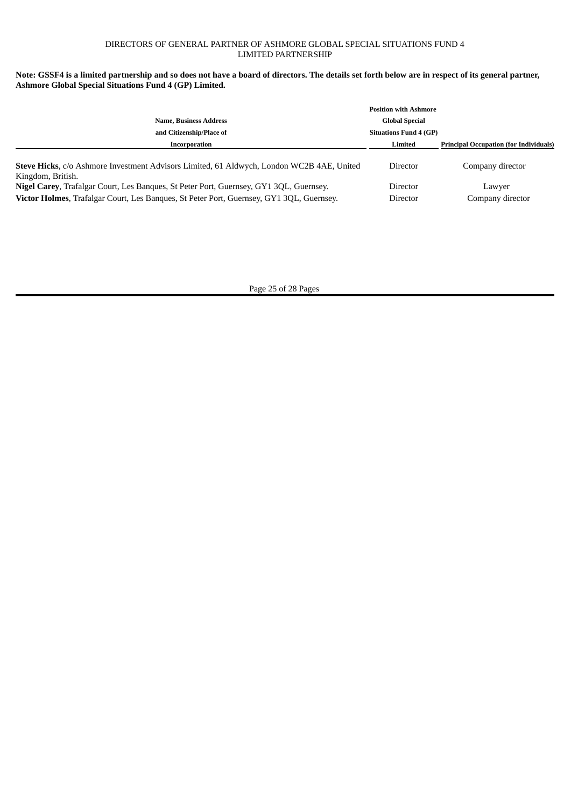## DIRECTORS OF GENERAL PARTNER OF ASHMORE GLOBAL SPECIAL SITUATIONS FUND 4 LIMITED PARTNERSHIP

## Note: GSSF4 is a limited partnership and so does not have a board of directors. The details set forth below are in respect of its general partner, **Ashmore Global Special Situations Fund 4 (GP) Limited.**

| <b>Name, Business Address</b>                                                                                                                                                      | <b>Position with Ashmore</b><br><b>Global Special</b> |                                               |
|------------------------------------------------------------------------------------------------------------------------------------------------------------------------------------|-------------------------------------------------------|-----------------------------------------------|
| and Citizenship/Place of                                                                                                                                                           | <b>Situations Fund 4 (GP)</b>                         |                                               |
| Incorporation                                                                                                                                                                      | Limited                                               | <b>Principal Occupation (for Individuals)</b> |
| Steve Hicks, c/o Ashmore Investment Advisors Limited, 61 Aldwych, London WC2B 4AE, United<br>Kingdom, British.                                                                     | Director                                              | Company director                              |
| Nigel Carey, Trafalgar Court, Les Banques, St Peter Port, Guernsey, GY1 3QL, Guernsey.<br>Victor Holmes, Trafalgar Court, Les Banques, St Peter Port, Guernsey, GY1 3QL, Guernsey. | Director<br>Director                                  | Lawyer<br>Company director                    |

Page 25 of 28 Pages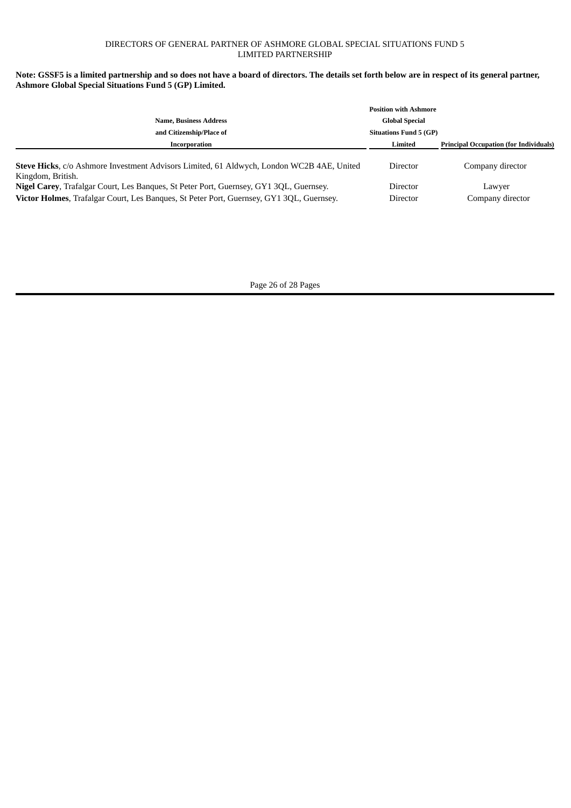## DIRECTORS OF GENERAL PARTNER OF ASHMORE GLOBAL SPECIAL SITUATIONS FUND 5 LIMITED PARTNERSHIP

# Note: GSSF5 is a limited partnership and so does not have a board of directors. The details set forth below are in respect of its general partner, **Ashmore Global Special Situations Fund 5 (GP) Limited.**

|                                                                                                                                                                                    | <b>Position with Ashmore</b>  |                                               |
|------------------------------------------------------------------------------------------------------------------------------------------------------------------------------------|-------------------------------|-----------------------------------------------|
| <b>Name, Business Address</b>                                                                                                                                                      | <b>Global Special</b>         |                                               |
| and Citizenship/Place of                                                                                                                                                           | <b>Situations Fund 5 (GP)</b> |                                               |
| Incorporation                                                                                                                                                                      | Limited                       | <b>Principal Occupation (for Individuals)</b> |
| Steve Hicks, c/o Ashmore Investment Advisors Limited, 61 Aldwych, London WC2B 4AE, United<br>Kingdom, British.                                                                     | Director                      | Company director                              |
| Nigel Carey, Trafalgar Court, Les Banques, St Peter Port, Guernsey, GY1 3QL, Guernsey.<br>Victor Holmes, Trafalgar Court, Les Banques, St Peter Port, Guernsey, GY1 3QL, Guernsey. | Director<br>Director          | Lawver<br>Company director                    |

Page 26 of 28 Pages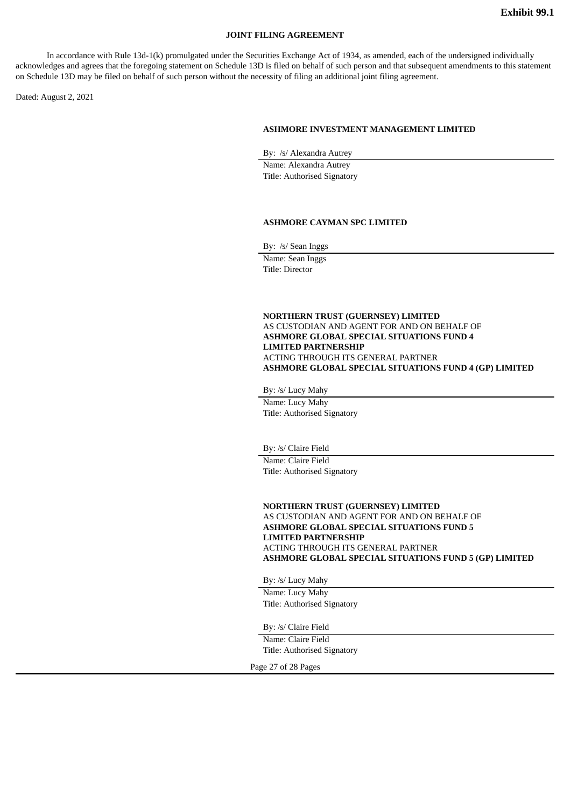### **JOINT FILING AGREEMENT**

In accordance with Rule 13d-1(k) promulgated under the Securities Exchange Act of 1934, as amended, each of the undersigned individually acknowledges and agrees that the foregoing statement on Schedule 13D is filed on behalf of such person and that subsequent amendments to this statement on Schedule 13D may be filed on behalf of such person without the necessity of filing an additional joint filing agreement.

Dated: August 2, 2021

#### **ASHMORE INVESTMENT MANAGEMENT LIMITED**

By: /s/ Alexandra Autrey

Name: Alexandra Autrey Title: Authorised Signatory

#### **ASHMORE CAYMAN SPC LIMITED**

By: /s/ Sean Inggs

Name: Sean Inggs Title: Director

### **NORTHERN TRUST (GUERNSEY) LIMITED** AS CUSTODIAN AND AGENT FOR AND ON BEHALF OF **ASHMORE GLOBAL SPECIAL SITUATIONS FUND 4 LIMITED PARTNERSHIP** ACTING THROUGH ITS GENERAL PARTNER **ASHMORE GLOBAL SPECIAL SITUATIONS FUND 4 (GP) LIMITED**

By: /s/ Lucy Mahy

Name: Lucy Mahy Title: Authorised Signatory

By: /s/ Claire Field

Name: Claire Field Title: Authorised Signatory

**NORTHERN TRUST (GUERNSEY) LIMITED** AS CUSTODIAN AND AGENT FOR AND ON BEHALF OF **ASHMORE GLOBAL SPECIAL SITUATIONS FUND 5 LIMITED PARTNERSHIP** ACTING THROUGH ITS GENERAL PARTNER **ASHMORE GLOBAL SPECIAL SITUATIONS FUND 5 (GP) LIMITED**

By: /s/ Lucy Mahy

Name: Lucy Mahy Title: Authorised Signatory

By: /s/ Claire Field

Name: Claire Field Title: Authorised Signatory

Page 27 of 28 Pages